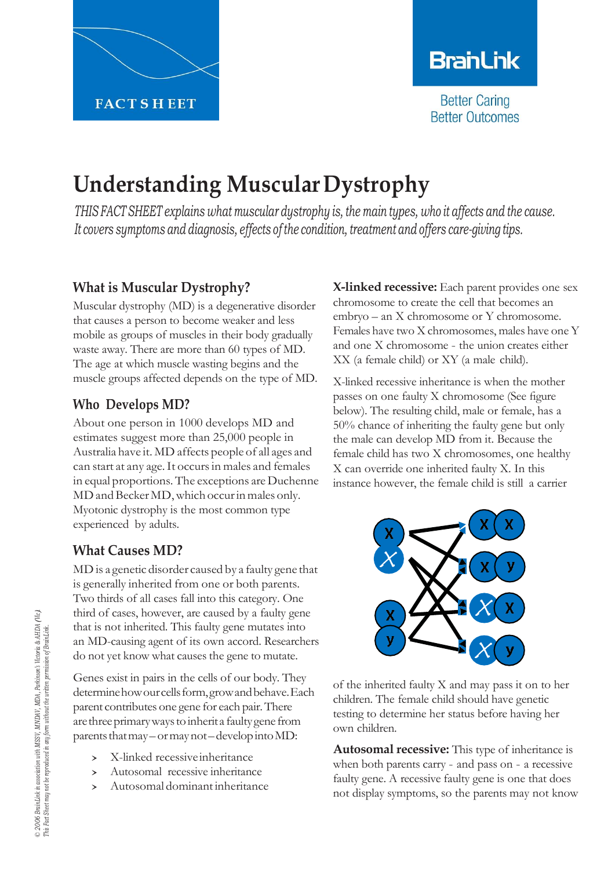

# **BranLink**

**Better Caring Better Outcomes** 

# **Understanding MuscularDystrophy**

*THIS FACT SHEET explains what muscular dystrophy is, the main types, who it affects and the cause. It covers symptoms and diagnosis, effects of the condition, treatment and offers care-giving tips.*

# **What is Muscular Dystrophy?**

Muscular dystrophy (MD) is a degenerative disorder that causes a person to become weaker and less mobile as groups of muscles in their body gradually waste away. There are more than 60 types of MD. The age at which muscle wasting begins and the muscle groups affected depends on the type of MD.

#### **Who Develops MD?**

About one person in 1000 develops MD and estimates suggest more than 25,000 people in Australia have it. MD affects people of all ages and can start at any age.It occursin males and females in equal proportions. The exceptions are Duchenne MD and Becker MD, which occur in males only. Myotonic dystrophy is the most common type experienced by adults.

# **What Causes MD?**

MD is a genetic disorder caused by a faulty gene that is generally inherited from one or both parents. Two thirds of all cases fall into this category. One third of cases, however, are caused by a faulty gene that is not inherited. This faulty gene mutates into an MD-causing agent of its own accord. Researchers do not yet know what causes the gene to mutate.

Genes exist in pairs in the cells of our body. They determine how our cells form, grow and behave. Each parent contributes one gene for each pair.There arethreeprimarywaystoinherita faultygene from parents that may – or may not – develop into MD:

- > X-linked recessive inheritance<br>> Autosomal recessive inheritance
- Autosomal recessive inheritance
- Autosomal dominant inheritance

**X-linked recessive:** Each parent provides one sex chromosome to create the cell that becomes an embryo – an X chromosome or Y chromosome. Females have two X chromosomes, males have one Y and one X chromosome - the union creates either XX (a female child) or XY (a male child).

X-linked recessive inheritance is when the mother passes on one faulty X chromosome (See figure below). The resulting child, male or female, has a 50% chance of inheriting the faulty gene but only the male can develop MD from it. Because the female child has two X chromosomes, one healthy X can override one inherited faulty X. In this instance however, the female child is still a carrier



of the inherited faulty X and may pass it on to her children. The female child should have genetic testing to determine her status before having her own children.

**Autosomal recessive:** This type of inheritance is when both parents carry - and pass on - a recessive faulty gene. A recessive faulty gene is one that does not display symptoms, so the parents may not know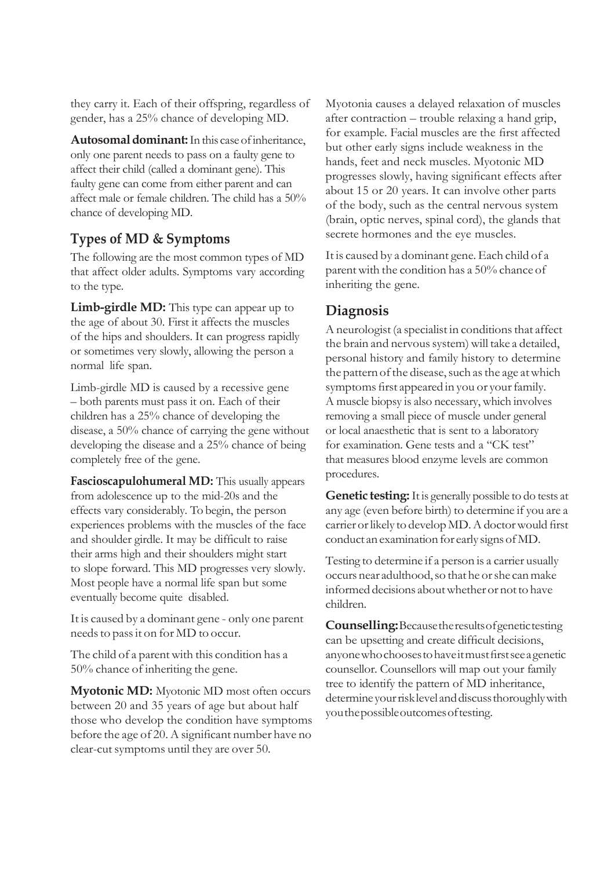they carry it. Each of their offspring, regardless of gender, has a 25% chance of developing MD.

**Autosomal dominant:** In this case of inheritance, only one parent needs to pass on a faulty gene to affect their child (called a dominant gene). This faulty gene can come from either parent and can affect male or female children. The child has a 50% chance of developing MD.

#### **Types of MD & Symptoms**

The following are the most common types of MD that affect older adults. Symptoms vary according to the type.

**Limb-girdle MD:** This type can appear up to the age of about 30. First it affects the muscles of the hips and shoulders. It can progress rapidly or sometimes very slowly, allowing the person a normal life span.

Limb-girdle MD is caused by a recessive gene – both parents must pass it on. Each of their children has a 25% chance of developing the disease, a 50% chance of carrying the gene without developing the disease and a 25% chance of being completely free of the gene.

**Fascioscapulohumeral MD:** This usually appears from adolescence up to the mid-20s and the effects vary considerably. To begin, the person experiences problems with the muscles of the face and shoulder girdle. It may be difficult to raise their arms high and their shoulders might start to slope forward. This MD progresses very slowly. Most people have a normal life span but some eventually become quite disabled.

It is caused by a dominant gene - only one parent needsto passit on for MD to occur.

The child of a parent with this condition has a 50% chance of inheriting the gene.

**Myotonic MD:** Myotonic MD most often occurs between 20 and 35 years of age but about half those who develop the condition have symptoms before the age of 20. A significant number have no clear-cutsymptoms until they are over 50.

Myotonia causes a delayed relaxation of muscles after contraction – trouble relaxing a hand grip, for example. Facial muscles are the first affected but other early signs include weakness in the hands, feet and neck muscles. Myotonic MD progresses slowly, having significant effects after about 15 or 20 years. It can involve other parts of the body, such as the central nervous system (brain, optic nerves, spinal cord), the glands that secrete hormones and the eye muscles.

It is caused by a dominant gene.Each child of a parentwith the condition has a 50% chance of inheriting the gene.

#### **Diagnosis**

A neurologist (a specialist in conditions that affect the brain and nervous system) will take a detailed, personal history and family history to determine the pattern of the disease, such as the age at which symptoms first appeared in you or your family. A muscle biopsy is also necessary, which involves removing a small piece of muscle under general or local anaesthetic that is sent to a laboratory for examination. Gene tests and a "CK test" that measures blood enzyme levels are common procedures.

**Genetic testing:**It is generally possible to do tests at any age (even before birth) to determine if you are a carrier or likely to develop MD. A doctor would first conduct an examination for early signsofMD.

Testing to determine if a person is a carrier usually occurs near adulthood,so thathe orshe canmake informed decisions aboutwhetheror notto have children.

**Counselling:**Becausetheresultsofgenetictesting can be upsetting and create difficult decisions, anyonewhochoosestohaveitmustfirstseeagenetic counsellor. Counsellors will map out your family tree to identify the pattern of MD inheritance, determine your risk level and discuss thoroughly with youthepossibleoutcomesoftesting.